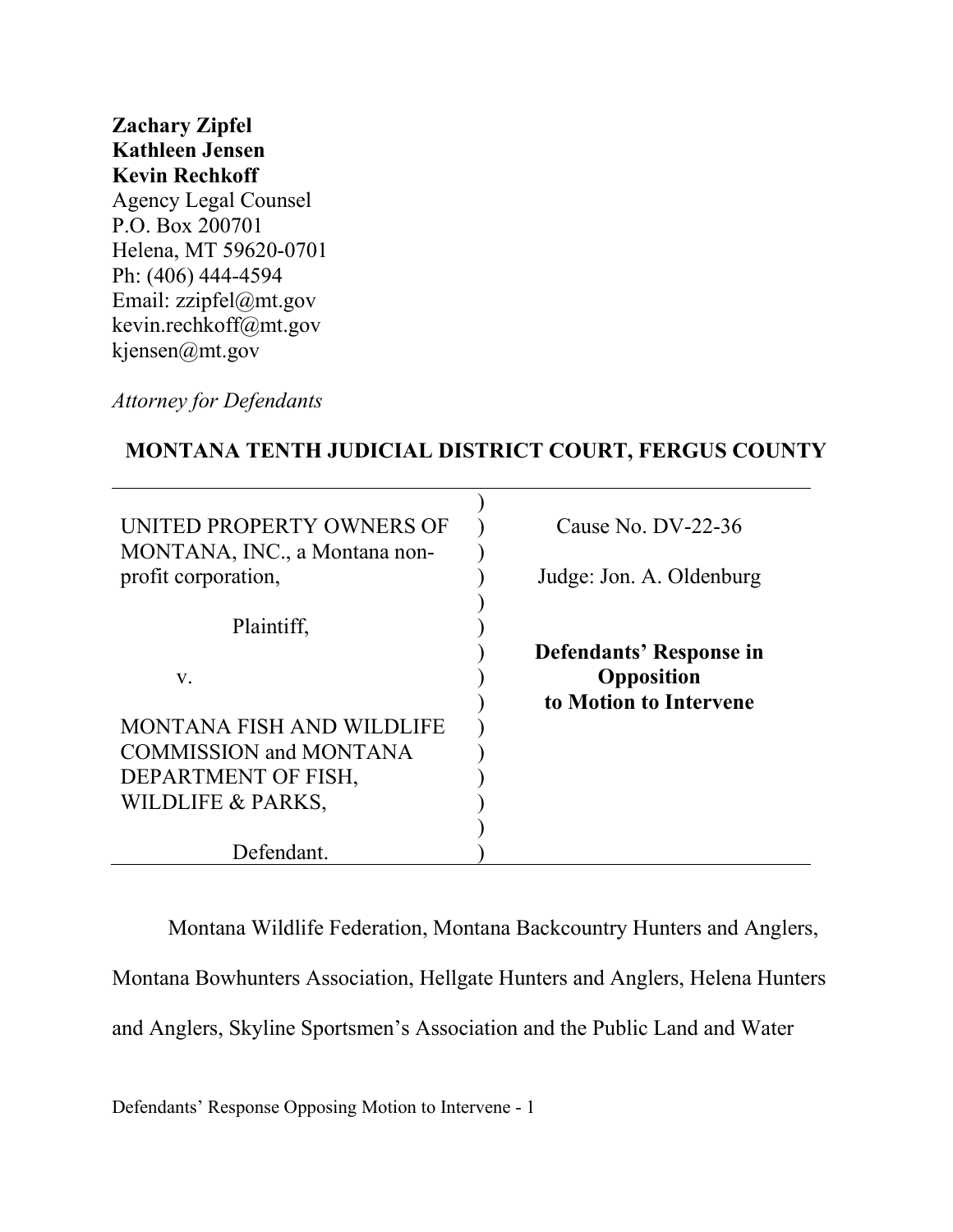# **Zachary Zipfel Kathleen Jensen Kevin Rechkoff** Agency Legal Counsel P.O. Box 200701 Helena, MT 59620-0701 Ph: (406) 444-4594 Email: zzipfel@mt.gov kevin.rechkoff@mt.gov kjensen@mt.gov

*Attorney for Defendants*

## **MONTANA TENTH JUDICIAL DISTRICT COURT, FERGUS COUNTY**

| UNITED PROPERTY OWNERS OF<br>MONTANA, INC., a Montana non-<br>profit corporation, | Cause No. DV-22-36<br>Judge: Jon. A. Oldenburg |
|-----------------------------------------------------------------------------------|------------------------------------------------|
| Plaintiff,                                                                        |                                                |
|                                                                                   | Defendants' Response in                        |
| V.                                                                                | Opposition                                     |
|                                                                                   | to Motion to Intervene                         |
| <b>MONTANA FISH AND WILDLIFE</b>                                                  |                                                |
| <b>COMMISSION and MONTANA</b>                                                     |                                                |
| DEPARTMENT OF FISH,                                                               |                                                |
| WILDLIFE & PARKS,                                                                 |                                                |
|                                                                                   |                                                |
| Defendant.                                                                        |                                                |

Montana Wildlife Federation, Montana Backcountry Hunters and Anglers,

Montana Bowhunters Association, Hellgate Hunters and Anglers, Helena Hunters

and Anglers, Skyline Sportsmen's Association and the Public Land and Water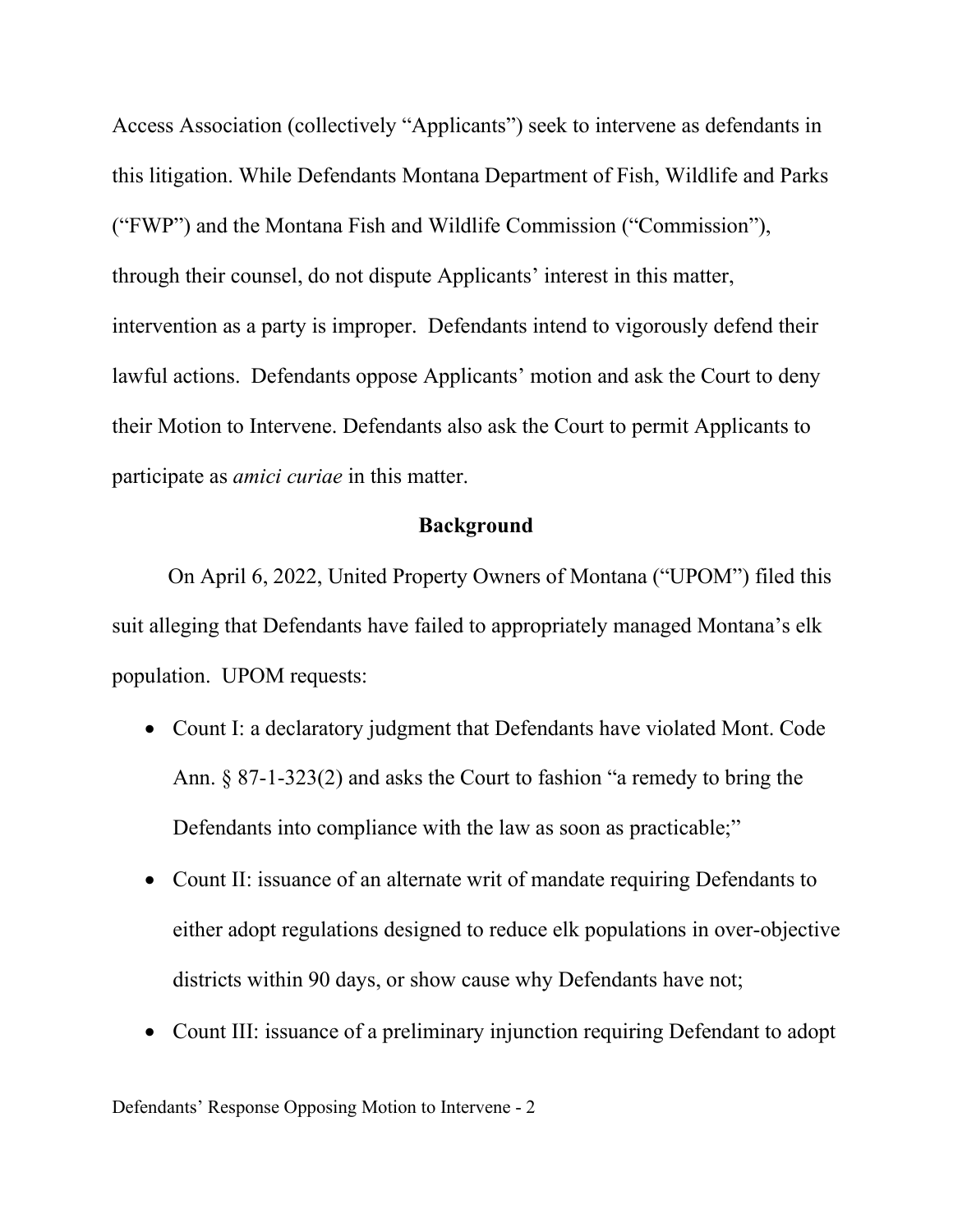Access Association (collectively "Applicants") seek to intervene as defendants in this litigation. While Defendants Montana Department of Fish, Wildlife and Parks ("FWP") and the Montana Fish and Wildlife Commission ("Commission"), through their counsel, do not dispute Applicants' interest in this matter, intervention as a party is improper. Defendants intend to vigorously defend their lawful actions. Defendants oppose Applicants' motion and ask the Court to deny their Motion to Intervene. Defendants also ask the Court to permit Applicants to participate as *amici curiae* in this matter.

### **Background**

On April 6, 2022, United Property Owners of Montana ("UPOM") filed this suit alleging that Defendants have failed to appropriately managed Montana's elk population. UPOM requests:

- Count I: a declaratory judgment that Defendants have violated Mont. Code Ann. § 87-1-323(2) and asks the Court to fashion "a remedy to bring the Defendants into compliance with the law as soon as practicable;"
- Count II: issuance of an alternate writ of mandate requiring Defendants to either adopt regulations designed to reduce elk populations in over-objective districts within 90 days, or show cause why Defendants have not;
- Count III: issuance of a preliminary injunction requiring Defendant to adopt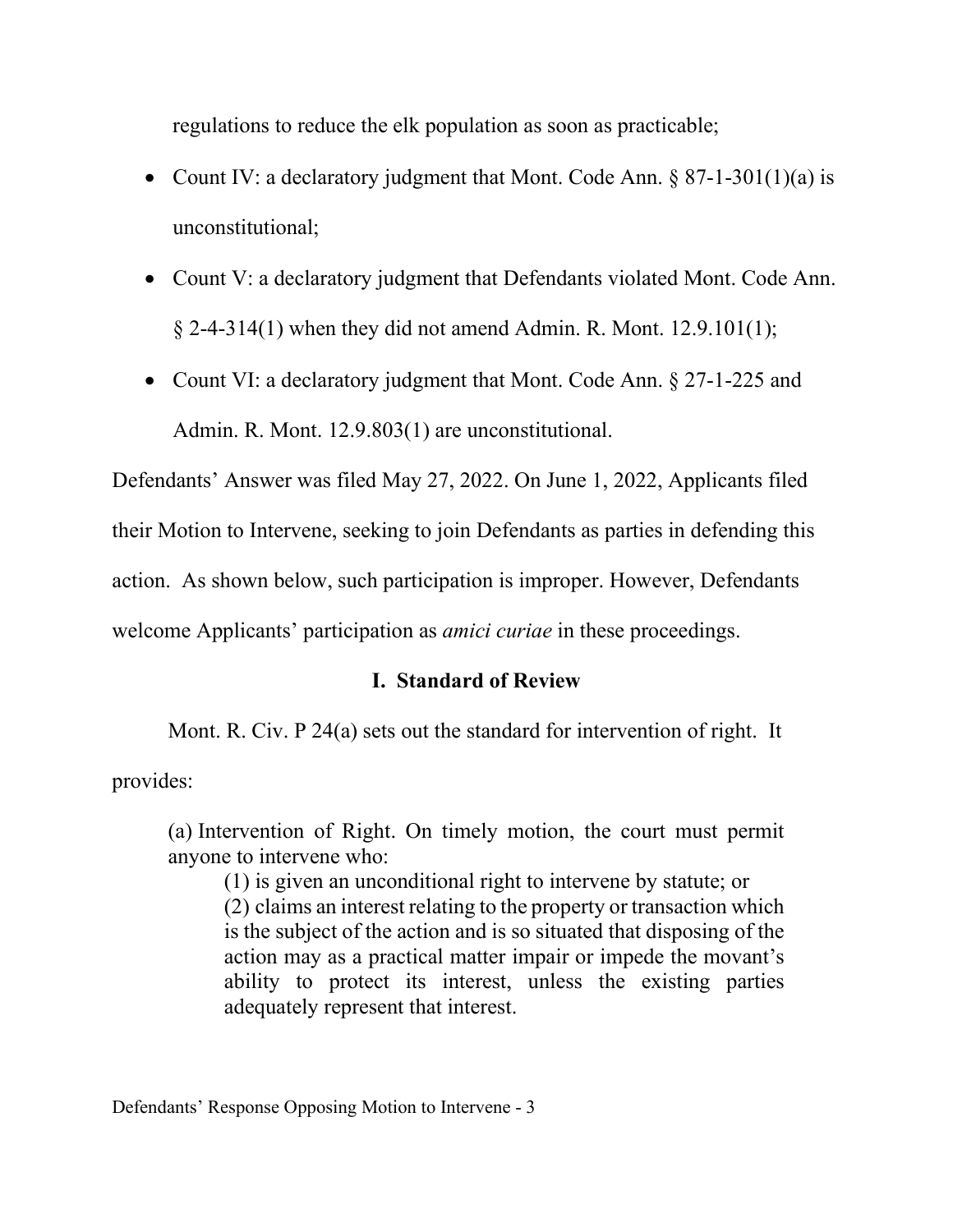regulations to reduce the elk population as soon as practicable;

- Count IV: a declaratory judgment that Mont. Code Ann.  $\S 87$ -1-301(1)(a) is unconstitutional;
- Count V: a declaratory judgment that Defendants violated Mont. Code Ann.  $\S 2-4-314(1)$  when they did not amend Admin. R. Mont. 12.9.101(1);
- Count VI: a declaratory judgment that Mont. Code Ann. § 27-1-225 and Admin. R. Mont. 12.9.803(1) are unconstitutional.

Defendants' Answer was filed May 27, 2022. On June 1, 2022, Applicants filed their Motion to Intervene, seeking to join Defendants as parties in defending this action. As shown below, such participation is improper. However, Defendants welcome Applicants' participation as *amici curiae* in these proceedings.

# **I. Standard of Review**

Mont. R. Civ. P 24(a) sets out the standard for intervention of right. It

provides:

(a) Intervention of Right. On timely motion, the court must permit anyone to intervene who:

(1) is given an unconditional right to intervene by statute; or (2) claims an interest relating to the property or transaction which is the subject of the action and is so situated that disposing of the action may as a practical matter impair or impede the movant's ability to protect its interest, unless the existing parties adequately represent that interest.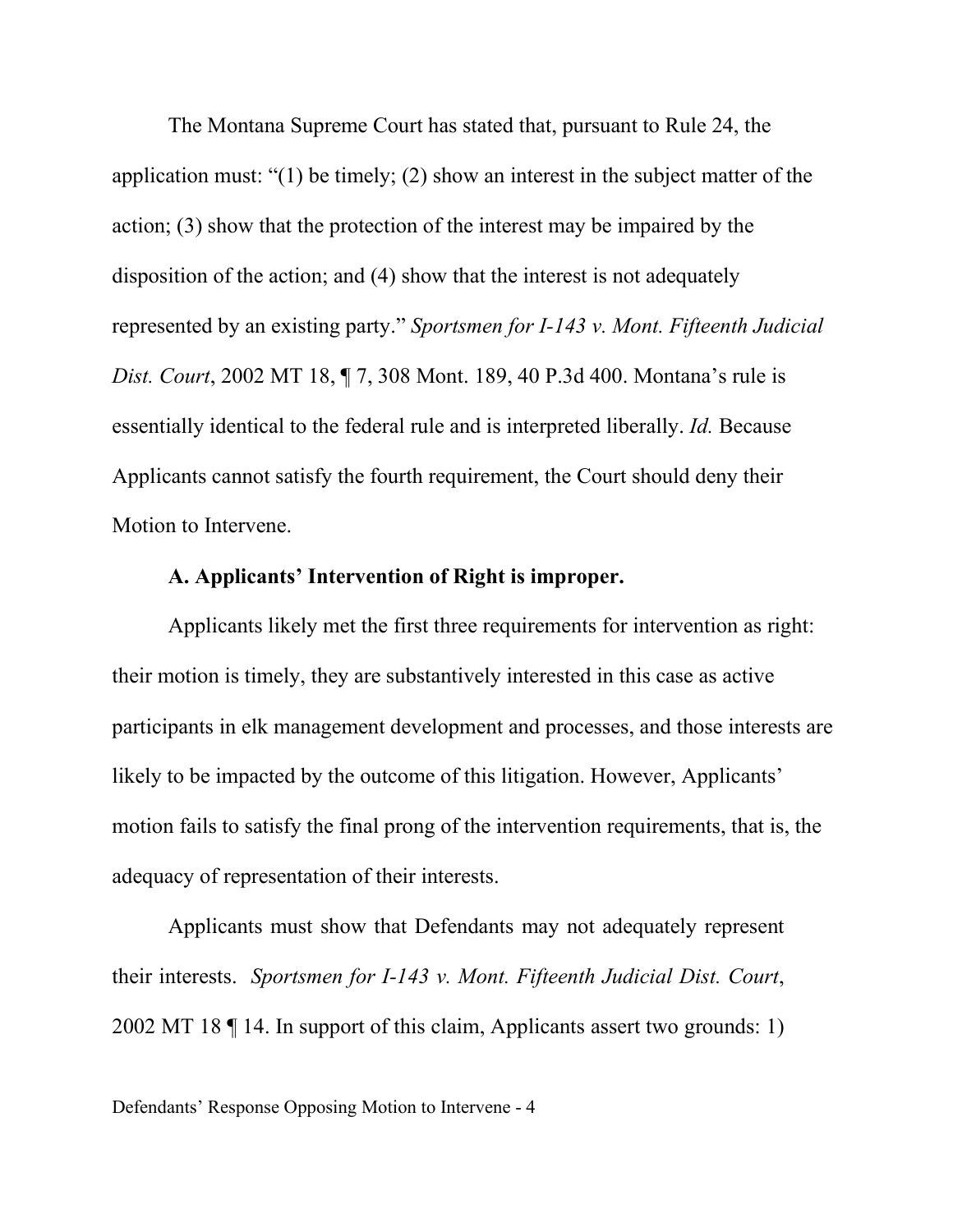The Montana Supreme Court has stated that, pursuant to Rule 24, the application must: "(1) be timely; (2) show an interest in the subject matter of the action; (3) show that the protection of the interest may be impaired by the disposition of the action; and (4) show that the interest is not adequately represented by an existing party." *Sportsmen for I-143 v. Mont. Fifteenth Judicial Dist. Court*, 2002 MT 18, ¶ 7, 308 Mont. 189, 40 P.3d 400. Montana's rule is essentially identical to the federal rule and is interpreted liberally. *Id.* Because Applicants cannot satisfy the fourth requirement, the Court should deny their Motion to Intervene.

## **A. Applicants' Intervention of Right is improper.**

Applicants likely met the first three requirements for intervention as right: their motion is timely, they are substantively interested in this case as active participants in elk management development and processes, and those interests are likely to be impacted by the outcome of this litigation. However, Applicants' motion fails to satisfy the final prong of the intervention requirements, that is, the adequacy of representation of their interests.

Applicants must show that Defendants may not adequately represent their interests. *Sportsmen for I-143 v. Mont. Fifteenth Judicial Dist. Court*, 2002 MT 18 ¶ 14. In support of this claim, Applicants assert two grounds: 1)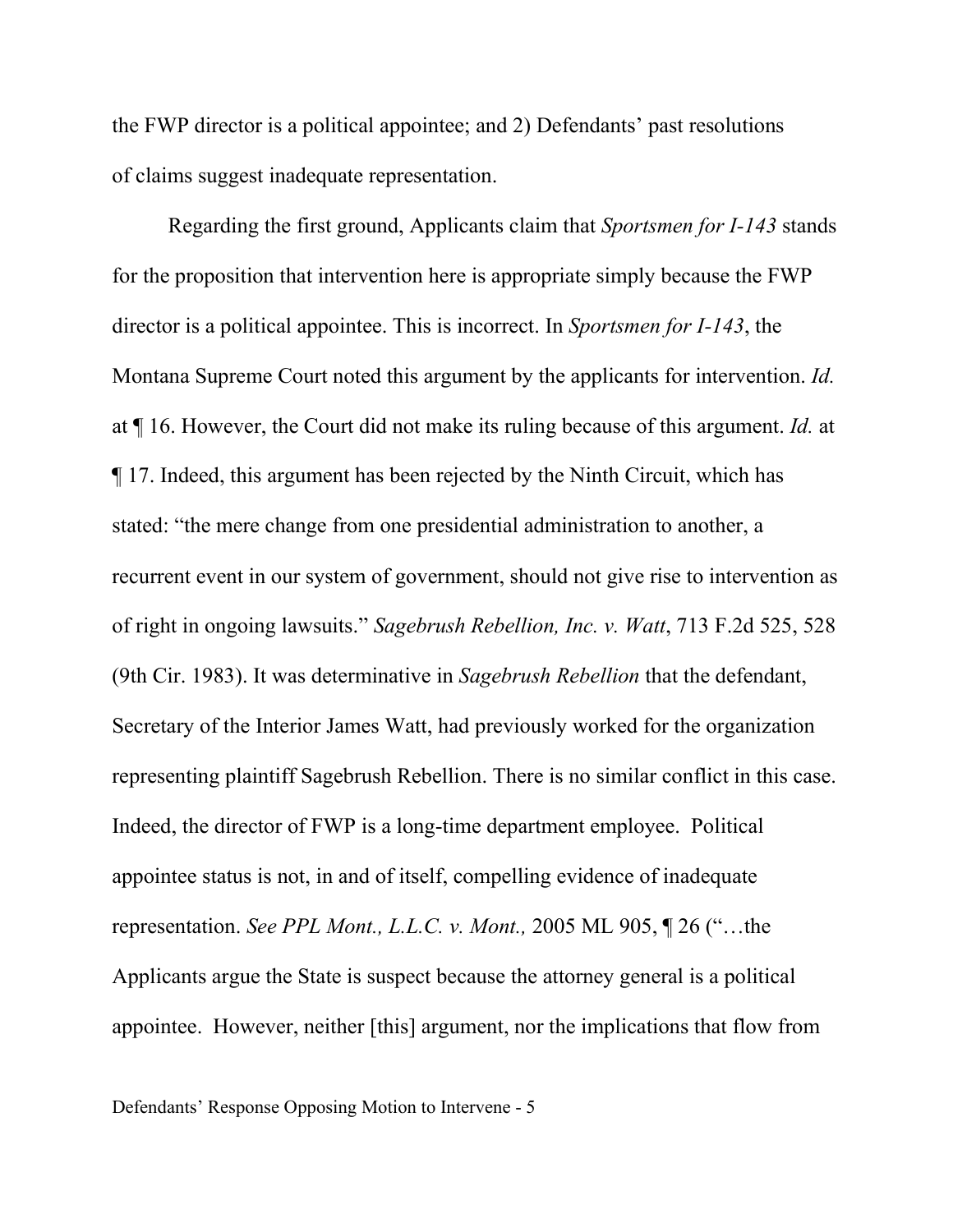the FWP director is a political appointee; and 2) Defendants' past resolutions of claims suggest inadequate representation.

Regarding the first ground, Applicants claim that *Sportsmen for I-143* stands for the proposition that intervention here is appropriate simply because the FWP director is a political appointee. This is incorrect. In *Sportsmen for I-143*, the Montana Supreme Court noted this argument by the applicants for intervention. *Id.* at ¶ 16. However, the Court did not make its ruling because of this argument. *Id.* at ¶ 17. Indeed, this argument has been rejected by the Ninth Circuit, which has stated: "the mere change from one presidential administration to another, a recurrent event in our system of government, should not give rise to intervention as of right in ongoing lawsuits." *Sagebrush Rebellion, Inc. v. Watt*, 713 F.2d 525, 528 (9th Cir. 1983). It was determinative in *Sagebrush Rebellion* that the defendant, Secretary of the Interior James Watt, had previously worked for the organization representing plaintiff Sagebrush Rebellion. There is no similar conflict in this case. Indeed, the director of FWP is a long-time department employee. Political appointee status is not, in and of itself, compelling evidence of inadequate representation. *See PPL Mont., L.L.C. v. Mont.,* 2005 ML 905, ¶ 26 ("…the Applicants argue the State is suspect because the attorney general is a political appointee. However, neither [this] argument, nor the implications that flow from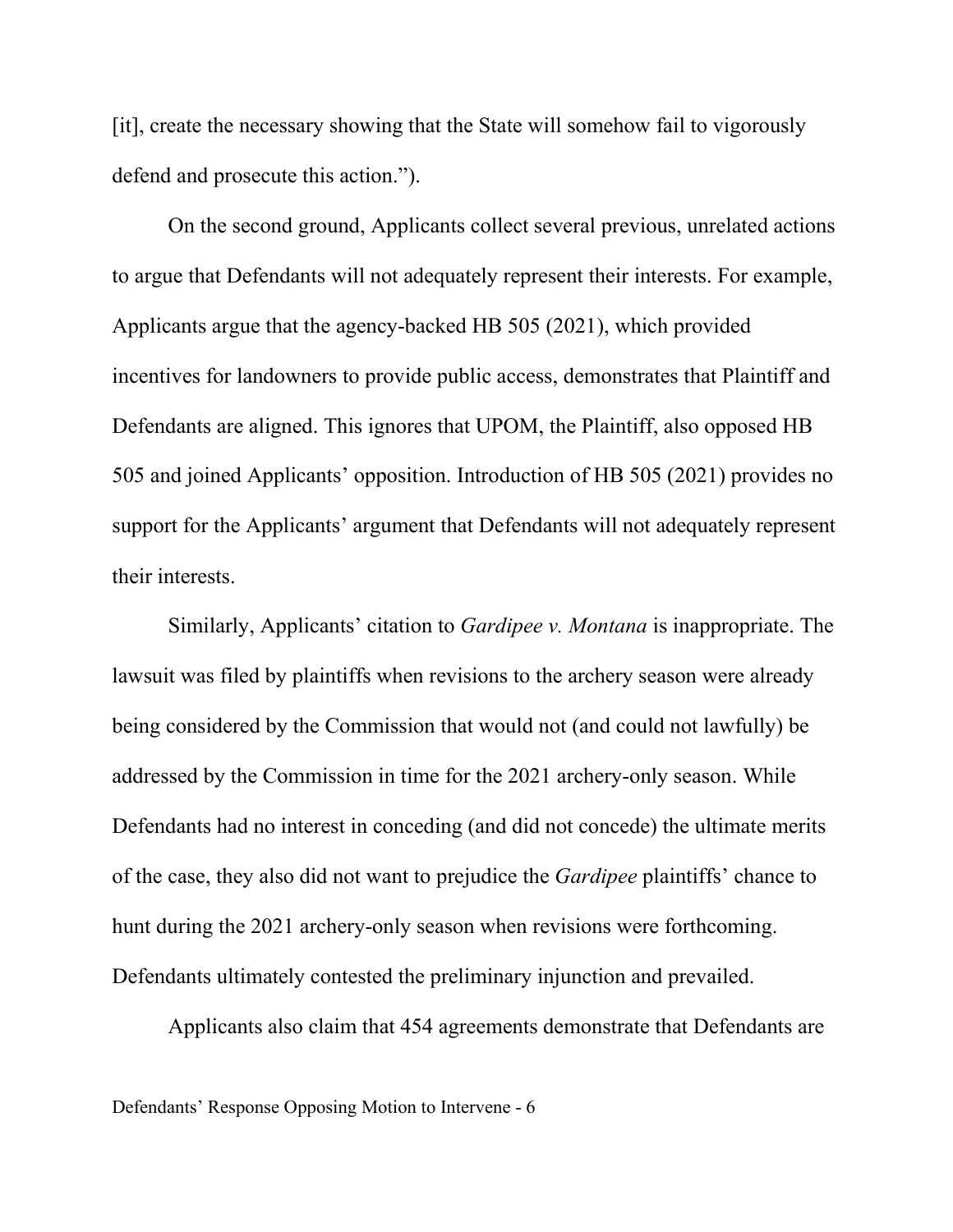[it], create the necessary showing that the State will somehow fail to vigorously defend and prosecute this action.").

On the second ground, Applicants collect several previous, unrelated actions to argue that Defendants will not adequately represent their interests. For example, Applicants argue that the agency-backed HB 505 (2021), which provided incentives for landowners to provide public access, demonstrates that Plaintiff and Defendants are aligned. This ignores that UPOM, the Plaintiff, also opposed HB 505 and joined Applicants' opposition. Introduction of HB 505 (2021) provides no support for the Applicants' argument that Defendants will not adequately represent their interests.

Similarly, Applicants' citation to *Gardipee v. Montana* is inappropriate. The lawsuit was filed by plaintiffs when revisions to the archery season were already being considered by the Commission that would not (and could not lawfully) be addressed by the Commission in time for the 2021 archery-only season. While Defendants had no interest in conceding (and did not concede) the ultimate merits of the case, they also did not want to prejudice the *Gardipee* plaintiffs' chance to hunt during the 2021 archery-only season when revisions were forthcoming. Defendants ultimately contested the preliminary injunction and prevailed.

Applicants also claim that 454 agreements demonstrate that Defendants are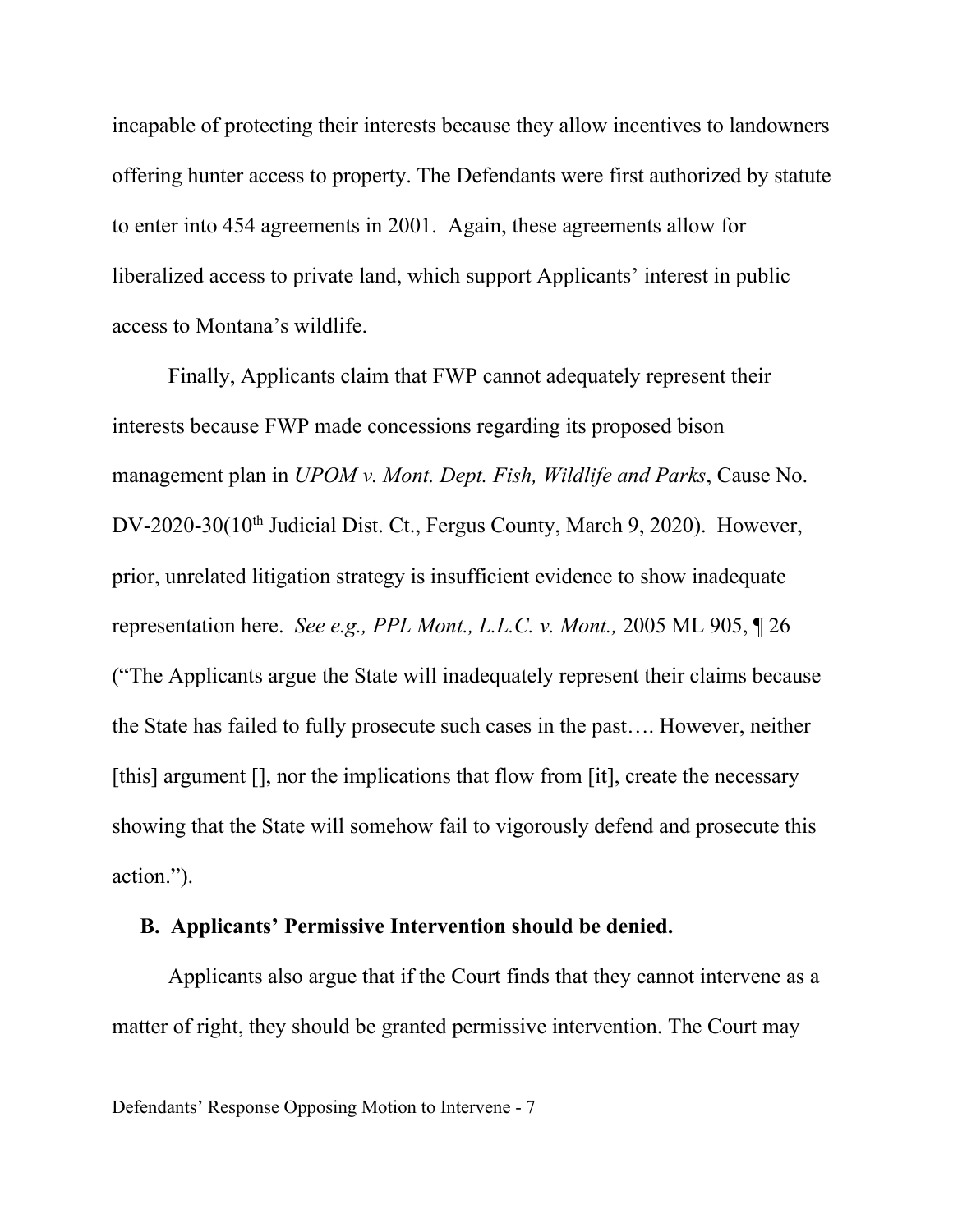incapable of protecting their interests because they allow incentives to landowners offering hunter access to property. The Defendants were first authorized by statute to enter into 454 agreements in 2001. Again, these agreements allow for liberalized access to private land, which support Applicants' interest in public access to Montana's wildlife.

Finally, Applicants claim that FWP cannot adequately represent their interests because FWP made concessions regarding its proposed bison management plan in *UPOM v. Mont. Dept. Fish, Wildlife and Parks*, Cause No. DV-2020-30(10<sup>th</sup> Judicial Dist. Ct., Fergus County, March 9, 2020). However, prior, unrelated litigation strategy is insufficient evidence to show inadequate representation here. *See e.g., PPL Mont., L.L.C. v. Mont.,* 2005 ML 905, ¶ 26 ("The Applicants argue the State will inadequately represent their claims because the State has failed to fully prosecute such cases in the past…. However, neither [this] argument [], nor the implications that flow from [it], create the necessary showing that the State will somehow fail to vigorously defend and prosecute this action.").

#### **B. Applicants' Permissive Intervention should be denied.**

Applicants also argue that if the Court finds that they cannot intervene as a matter of right, they should be granted permissive intervention. The Court may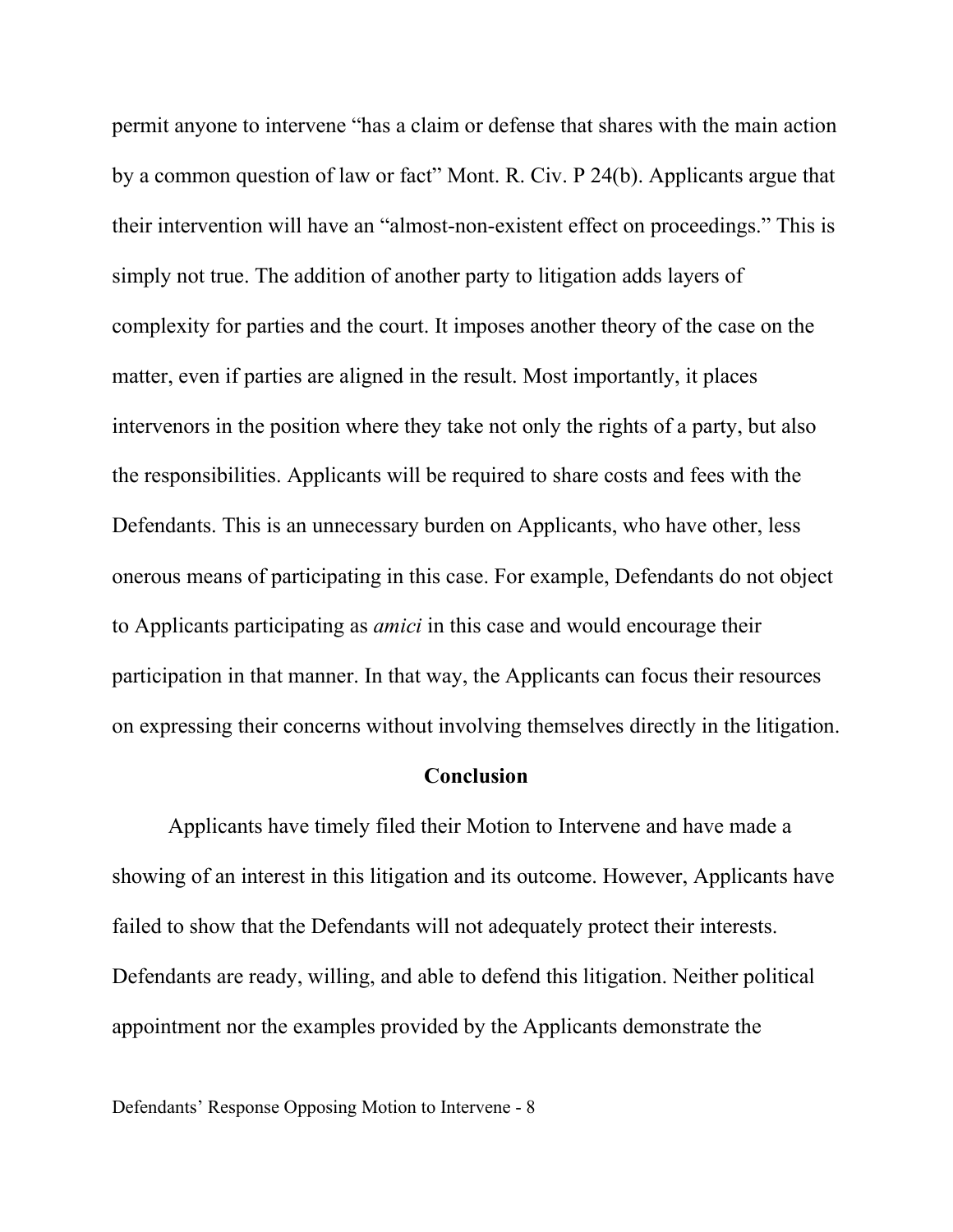permit anyone to intervene "has a claim or defense that shares with the main action by a common question of law or fact" Mont. R. Civ. P 24(b). Applicants argue that their intervention will have an "almost-non-existent effect on proceedings." This is simply not true. The addition of another party to litigation adds layers of complexity for parties and the court. It imposes another theory of the case on the matter, even if parties are aligned in the result. Most importantly, it places intervenors in the position where they take not only the rights of a party, but also the responsibilities. Applicants will be required to share costs and fees with the Defendants. This is an unnecessary burden on Applicants, who have other, less onerous means of participating in this case. For example, Defendants do not object to Applicants participating as *amici* in this case and would encourage their participation in that manner. In that way, the Applicants can focus their resources on expressing their concerns without involving themselves directly in the litigation.

#### **Conclusion**

Applicants have timely filed their Motion to Intervene and have made a showing of an interest in this litigation and its outcome. However, Applicants have failed to show that the Defendants will not adequately protect their interests. Defendants are ready, willing, and able to defend this litigation. Neither political appointment nor the examples provided by the Applicants demonstrate the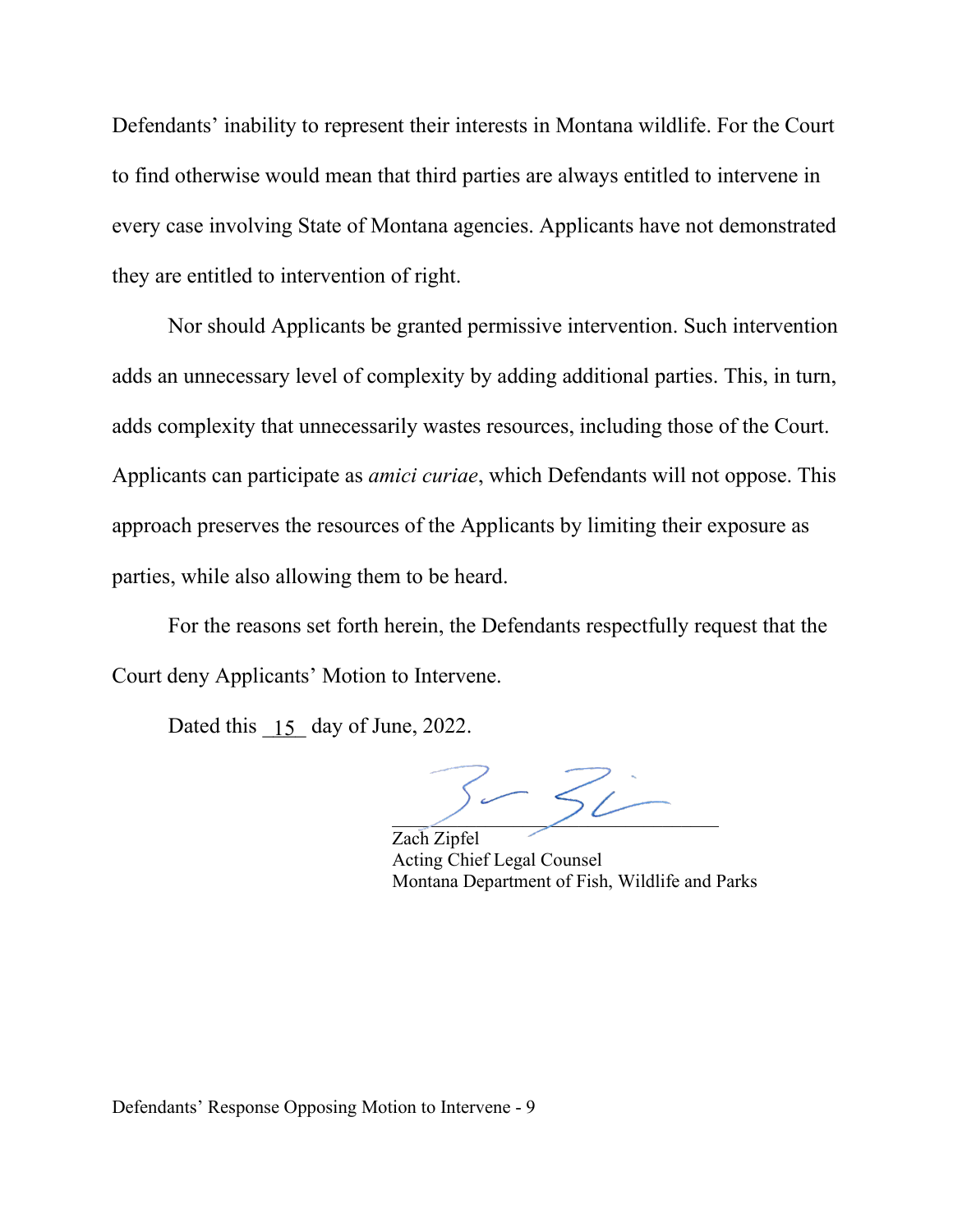Defendants' inability to represent their interests in Montana wildlife. For the Court to find otherwise would mean that third parties are always entitled to intervene in every case involving State of Montana agencies. Applicants have not demonstrated they are entitled to intervention of right.

Nor should Applicants be granted permissive intervention. Such intervention adds an unnecessary level of complexity by adding additional parties. This, in turn, adds complexity that unnecessarily wastes resources, including those of the Court. Applicants can participate as *amici curiae*, which Defendants will not oppose. This approach preserves the resources of the Applicants by limiting their exposure as parties, while also allowing them to be heard.

For the reasons set forth herein, the Defendants respectfully request that the Court deny Applicants' Motion to Intervene.

Dated this  $\boxed{15}$  day of June, 2022.

 $52$ 

Zach Zipfel Acting Chief Legal Counsel Montana Department of Fish, Wildlife and Parks